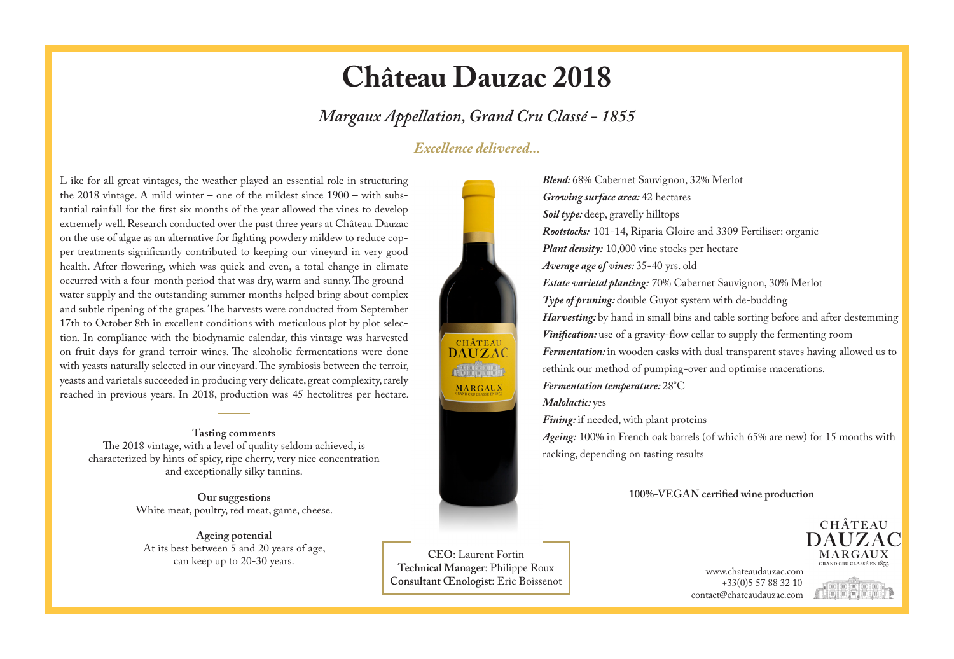## **Château Dauzac 2018**

*Margaux Appellation, Grand Cru Classé - 1855*

### *Excellence delivered...*

L ike for all great vintages, the weather played an essential role in structuring the 2018 vintage. A mild winter – one of the mildest since 1900 – with substantial rainfall for the first six months of the year allowed the vines to develop extremely well. Research conducted over the past three years at Château Dauzac on the use of algae as an alternative for fighting powdery mildew to reduce copper treatments significantly contributed to keeping our vineyard in very good health. After flowering, which was quick and even, a total change in climate occurred with a four-month period that was dry, warm and sunny. The groundwater supply and the outstanding summer months helped bring about complex and subtle ripening of the grapes. The harvests were conducted from September 17th to October 8th in excellent conditions with meticulous plot by plot selection. In compliance with the biodynamic calendar, this vintage was harvested on fruit days for grand terroir wines. The alcoholic fermentations were done with yeasts naturally selected in our vineyard. The symbiosis between the terroir, yeasts and varietals succeeded in producing very delicate, great complexity, rarely reached in previous years. In 2018, production was 45 hectolitres per hectare.

#### **Tasting comments**

The 2018 vintage, with a level of quality seldom achieved, is characterized by hints of spicy, ripe cherry, very nice concentration and exceptionally silky tannins.

> **Our suggestions** White meat, poultry, red meat, game, cheese.

**Ageing potential** At its best between  $\bar{5}$  and 20 years of age,<br>can keep up to 20-30 years.





can keep up to 20-30 years. www.chateaudauzac.com **Technical Manager**: Philippe Roux **CEO**: Laurent Fortin **Consultant Œnologist**: Eric Boissenot

*Blend:* 68% Cabernet Sauvignon, 32% Merlot *Growing surface area:* 42 hectares *Soil type:* deep, gravelly hilltops *Rootstocks:* 101-14, Riparia Gloire and 3309 Fertiliser: organic *Plant density:* 10,000 vine stocks per hectare *Average age of vines:* 35-40 yrs. old *Estate varietal planting:* 70% Cabernet Sauvignon, 30% Merlot *Type of pruning:* double Guyot system with de-budding *Harvesting*: by hand in small bins and table sorting before and after destemming *Vinification:* use of a gravity-flow cellar to supply the fermenting room *Fermentation:* in wooden casks with dual transparent staves having allowed us to rethink our method of pumping-over and optimise macerations. *Fermentation temperature:* 28°C *Malolactic:* yes

*Fining:* if needed, with plant proteins

*Ageing:* 100% in French oak barrels (of which 65% are new) for 15 months with racking, depending on tasting results

#### **100%-VEGAN certified wine production**

 +33(0)5 57 88 32 10 contact@chateaudauzac.com



MARGAUX

**CHÂTEAU**